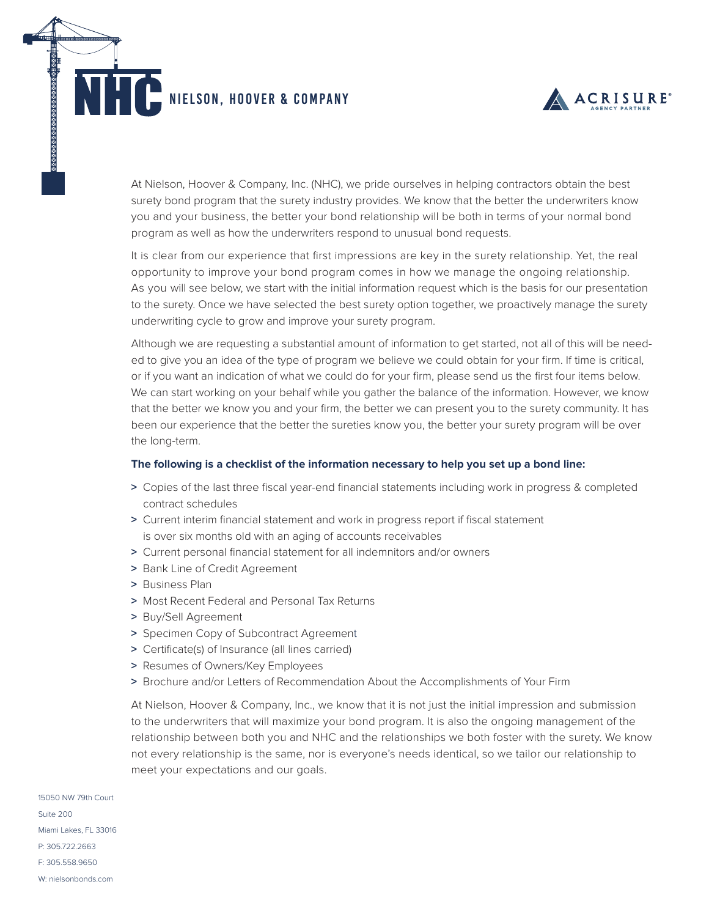NIELSON, hoover & COMPANY



At Nielson, Hoover & Company, Inc. (NHC), we pride ourselves in helping contractors obtain the best surety bond program that the surety industry provides. We know that the better the underwriters know you and your business, the better your bond relationship will be both in terms of your normal bond program as well as how the underwriters respond to unusual bond requests.

It is clear from our experience that first impressions are key in the surety relationship. Yet, the real opportunity to improve your bond program comes in how we manage the ongoing relationship. As you will see below, we start with the initial information request which is the basis for our presentation to the surety. Once we have selected the best surety option together, we proactively manage the surety underwriting cycle to grow and improve your surety program.

Although we are requesting a substantial amount of information to get started, not all of this will be needed to give you an idea of the type of program we believe we could obtain for your firm. If time is critical, or if you want an indication of what we could do for your firm, please send us the first four items below. We can start working on your behalf while you gather the balance of the information. However, we know that the better we know you and your firm, the better we can present you to the surety community. It has been our experience that the better the sureties know you, the better your surety program will be over the long-term.

## **The following is a checklist of the information necessary to help you set up a bond line:**

- **>** Copies of the last three fiscal year-end financial statements including work in progress & completed contract schedules
- **>** Current interim financial statement and work in progress report if fiscal statement is over six months old with an aging of accounts receivables
- **>** Current personal financial statement for all indemnitors and/or owners
- **>** Bank Line of Credit Agreement
- **>** Business Plan
- **>** Most Recent Federal and Personal Tax Returns
- **>** Buy/Sell Agreement
- **>** Specimen Copy of Subcontract Agreement
- **>** Certificate(s) of Insurance (all lines carried)
- **>** Resumes of Owners/Key Employees
- **>** Brochure and/or Letters of Recommendation About the Accomplishments of Your Firm

At Nielson, Hoover & Company, Inc., we know that it is not just the initial impression and submission to the underwriters that will maximize your bond program. It is also the ongoing management of the relationship between both you and NHC and the relationships we both foster with the surety. We know not every relationship is the same, nor is everyone's needs identical, so we tailor our relationship to meet your expectations and our goals.

15050 NW 79th Court Suite 200 Miami Lakes, FL 33016 P: 305.722.2663 F: 305.558.9650 W: nielsonbonds.com

<u> A RASAR BARA DA RASARA DA RA</u>